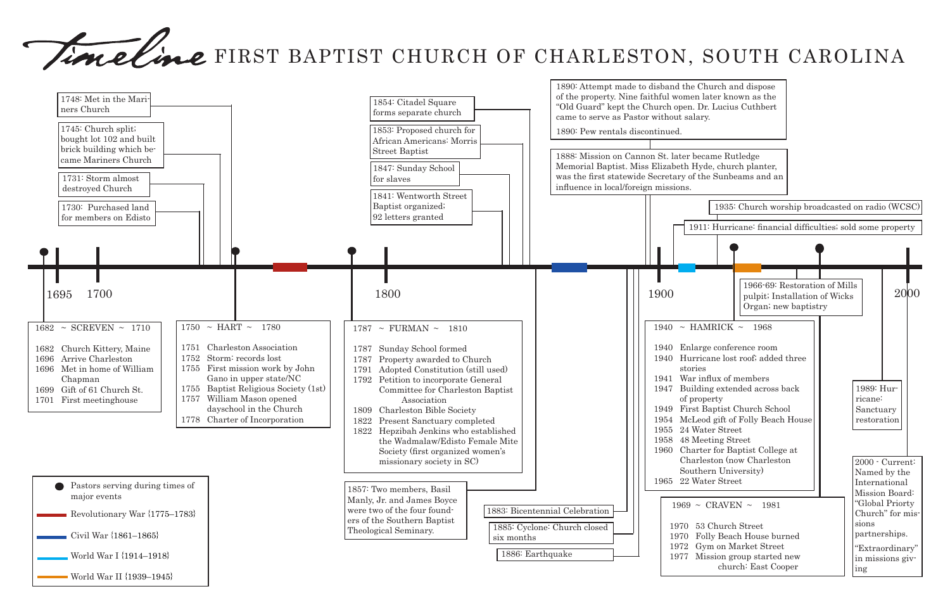# Timeline FIRST BAPTIST CHURCH OF CHARLESTON, SOUTH CAROLINA